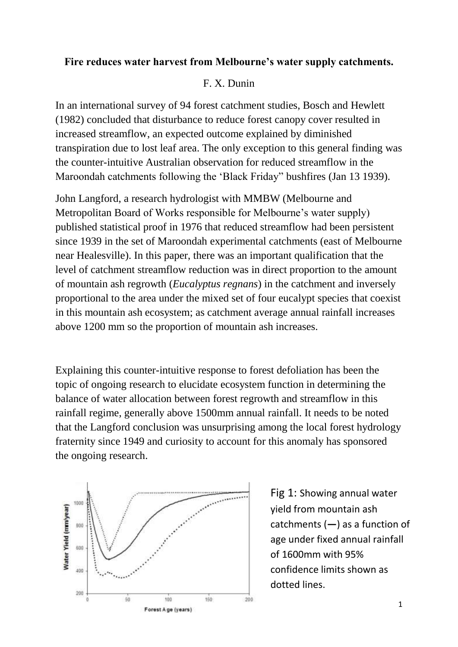## **Fire reduces water harvest from Melbourne's water supply catchments.**

## F. X. Dunin

In an international survey of 94 forest catchment studies, Bosch and Hewlett (1982) concluded that disturbance to reduce forest canopy cover resulted in increased streamflow, an expected outcome explained by diminished transpiration due to lost leaf area. The only exception to this general finding was the counter-intuitive Australian observation for reduced streamflow in the Maroondah catchments following the 'Black Friday" bushfires (Jan 13 1939).

John Langford, a research hydrologist with MMBW (Melbourne and Metropolitan Board of Works responsible for Melbourne's water supply) published statistical proof in 1976 that reduced streamflow had been persistent since 1939 in the set of Maroondah experimental catchments (east of Melbourne near Healesville). In this paper, there was an important qualification that the level of catchment streamflow reduction was in direct proportion to the amount of mountain ash regrowth (*Eucalyptus regnans*) in the catchment and inversely proportional to the area under the mixed set of four eucalypt species that coexist in this mountain ash ecosystem; as catchment average annual rainfall increases above 1200 mm so the proportion of mountain ash increases.

Explaining this counter-intuitive response to forest defoliation has been the topic of ongoing research to elucidate ecosystem function in determining the balance of water allocation between forest regrowth and streamflow in this rainfall regime, generally above 1500mm annual rainfall. It needs to be noted that the Langford conclusion was unsurprising among the local forest hydrology fraternity since 1949 and curiosity to account for this anomaly has sponsored the ongoing research.



Fig 1: Showing annual water yield from mountain ash catchments (**—**) as a function of age under fixed annual rainfall of 1600mm with 95% confidence limits shown as dotted lines.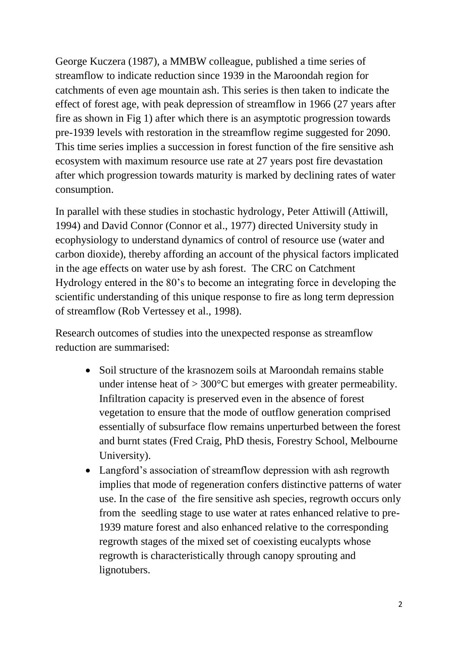George Kuczera (1987), a MMBW colleague, published a time series of streamflow to indicate reduction since 1939 in the Maroondah region for catchments of even age mountain ash. This series is then taken to indicate the effect of forest age, with peak depression of streamflow in 1966 (27 years after fire as shown in Fig 1) after which there is an asymptotic progression towards pre-1939 levels with restoration in the streamflow regime suggested for 2090. This time series implies a succession in forest function of the fire sensitive ash ecosystem with maximum resource use rate at 27 years post fire devastation after which progression towards maturity is marked by declining rates of water consumption.

In parallel with these studies in stochastic hydrology, Peter Attiwill (Attiwill, 1994) and David Connor (Connor et al., 1977) directed University study in ecophysiology to understand dynamics of control of resource use (water and carbon dioxide), thereby affording an account of the physical factors implicated in the age effects on water use by ash forest. The CRC on Catchment Hydrology entered in the 80's to become an integrating force in developing the scientific understanding of this unique response to fire as long term depression of streamflow (Rob Vertessey et al., 1998).

Research outcomes of studies into the unexpected response as streamflow reduction are summarised:

- Soil structure of the krasnozem soils at Maroondah remains stable under intense heat of  $> 300^{\circ}$ C but emerges with greater permeability. Infiltration capacity is preserved even in the absence of forest vegetation to ensure that the mode of outflow generation comprised essentially of subsurface flow remains unperturbed between the forest and burnt states (Fred Craig, PhD thesis, Forestry School, Melbourne University).
- Langford's association of streamflow depression with ash regrowth implies that mode of regeneration confers distinctive patterns of water use. In the case of the fire sensitive ash species, regrowth occurs only from the seedling stage to use water at rates enhanced relative to pre-1939 mature forest and also enhanced relative to the corresponding regrowth stages of the mixed set of coexisting eucalypts whose regrowth is characteristically through canopy sprouting and lignotubers.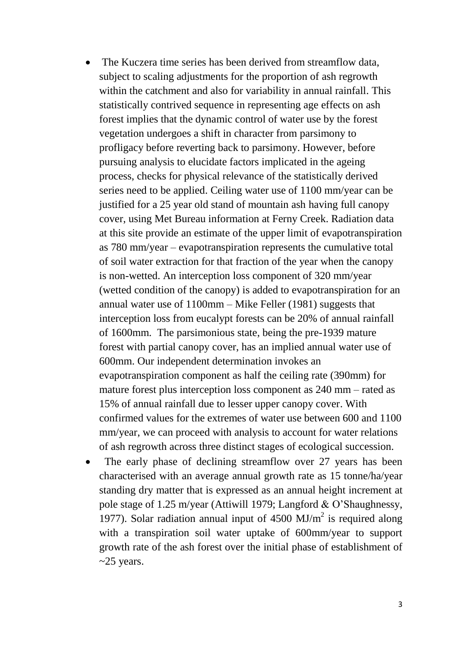- The Kuczera time series has been derived from streamflow data, subject to scaling adjustments for the proportion of ash regrowth within the catchment and also for variability in annual rainfall. This statistically contrived sequence in representing age effects on ash forest implies that the dynamic control of water use by the forest vegetation undergoes a shift in character from parsimony to profligacy before reverting back to parsimony. However, before pursuing analysis to elucidate factors implicated in the ageing process, checks for physical relevance of the statistically derived series need to be applied. Ceiling water use of 1100 mm/year can be justified for a 25 year old stand of mountain ash having full canopy cover, using Met Bureau information at Ferny Creek. Radiation data at this site provide an estimate of the upper limit of evapotranspiration as 780 mm/year – evapotranspiration represents the cumulative total of soil water extraction for that fraction of the year when the canopy is non-wetted. An interception loss component of 320 mm/year (wetted condition of the canopy) is added to evapotranspiration for an annual water use of 1100mm – Mike Feller (1981) suggests that interception loss from eucalypt forests can be 20% of annual rainfall of 1600mm. The parsimonious state, being the pre-1939 mature forest with partial canopy cover, has an implied annual water use of 600mm. Our independent determination invokes an evapotranspiration component as half the ceiling rate (390mm) for mature forest plus interception loss component as 240 mm – rated as 15% of annual rainfall due to lesser upper canopy cover. With confirmed values for the extremes of water use between 600 and 1100 mm/year, we can proceed with analysis to account for water relations of ash regrowth across three distinct stages of ecological succession.
- The early phase of declining streamflow over 27 years has been characterised with an average annual growth rate as 15 tonne/ha/year standing dry matter that is expressed as an annual height increment at pole stage of 1.25 m/year (Attiwill 1979; Langford & O'Shaughnessy, 1977). Solar radiation annual input of  $4500 \text{ MJ/m}^2$  is required along with a transpiration soil water uptake of 600mm/year to support growth rate of the ash forest over the initial phase of establishment of  $\sim$ 25 years.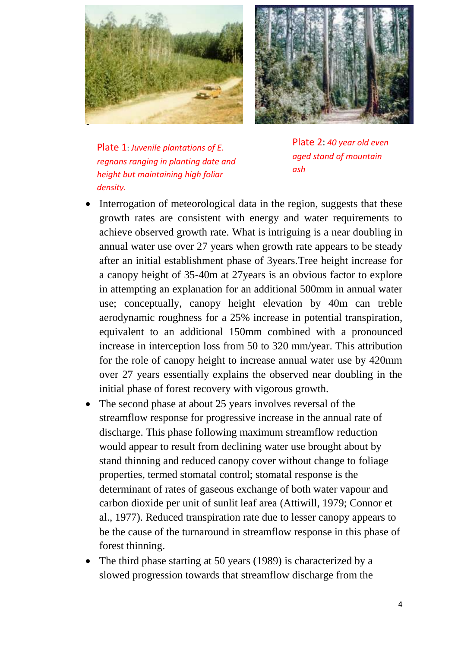



Plate 1: *Juvenile plantations of E. regnans ranging in planting date and height but maintaining high foliar density.*

Plate 2: *40 year old even aged stand of mountain ash* 

- Interrogation of meteorological data in the region, suggests that these growth rates are consistent with energy and water requirements to achieve observed growth rate. What is intriguing is a near doubling in annual water use over 27 years when growth rate appears to be steady after an initial establishment phase of 3years.Tree height increase for a canopy height of 35-40m at 27years is an obvious factor to explore in attempting an explanation for an additional 500mm in annual water use; conceptually, canopy height elevation by 40m can treble aerodynamic roughness for a 25% increase in potential transpiration, equivalent to an additional 150mm combined with a pronounced increase in interception loss from 50 to 320 mm/year. This attribution for the role of canopy height to increase annual water use by 420mm over 27 years essentially explains the observed near doubling in the initial phase of forest recovery with vigorous growth.
- The second phase at about 25 years involves reversal of the streamflow response for progressive increase in the annual rate of discharge. This phase following maximum streamflow reduction would appear to result from declining water use brought about by stand thinning and reduced canopy cover without change to foliage properties, termed stomatal control; stomatal response is the determinant of rates of gaseous exchange of both water vapour and carbon dioxide per unit of sunlit leaf area (Attiwill, 1979; Connor et al., 1977). Reduced transpiration rate due to lesser canopy appears to be the cause of the turnaround in streamflow response in this phase of forest thinning.
- The third phase starting at 50 years (1989) is characterized by a slowed progression towards that streamflow discharge from the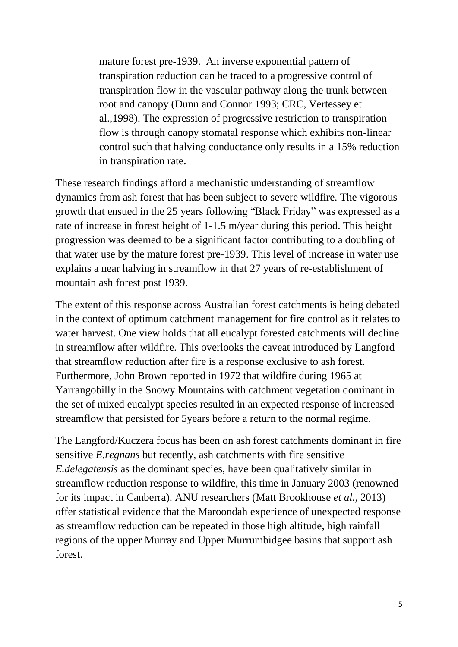mature forest pre-1939. An inverse exponential pattern of transpiration reduction can be traced to a progressive control of transpiration flow in the vascular pathway along the trunk between root and canopy (Dunn and Connor 1993; CRC, Vertessey et al.,1998). The expression of progressive restriction to transpiration flow is through canopy stomatal response which exhibits non-linear control such that halving conductance only results in a 15% reduction in transpiration rate.

These research findings afford a mechanistic understanding of streamflow dynamics from ash forest that has been subject to severe wildfire. The vigorous growth that ensued in the 25 years following "Black Friday" was expressed as a rate of increase in forest height of 1-1.5 m/year during this period. This height progression was deemed to be a significant factor contributing to a doubling of that water use by the mature forest pre-1939. This level of increase in water use explains a near halving in streamflow in that 27 years of re-establishment of mountain ash forest post 1939.

The extent of this response across Australian forest catchments is being debated in the context of optimum catchment management for fire control as it relates to water harvest. One view holds that all eucalypt forested catchments will decline in streamflow after wildfire. This overlooks the caveat introduced by Langford that streamflow reduction after fire is a response exclusive to ash forest. Furthermore, John Brown reported in 1972 that wildfire during 1965 at Yarrangobilly in the Snowy Mountains with catchment vegetation dominant in the set of mixed eucalypt species resulted in an expected response of increased streamflow that persisted for 5years before a return to the normal regime.

The Langford/Kuczera focus has been on ash forest catchments dominant in fire sensitive *E.regnans* but recently, ash catchments with fire sensitive *E.delegatensis* as the dominant species, have been qualitatively similar in streamflow reduction response to wildfire, this time in January 2003 (renowned for its impact in Canberra). ANU researchers (Matt Brookhouse *et al.,* 2013) offer statistical evidence that the Maroondah experience of unexpected response as streamflow reduction can be repeated in those high altitude, high rainfall regions of the upper Murray and Upper Murrumbidgee basins that support ash forest.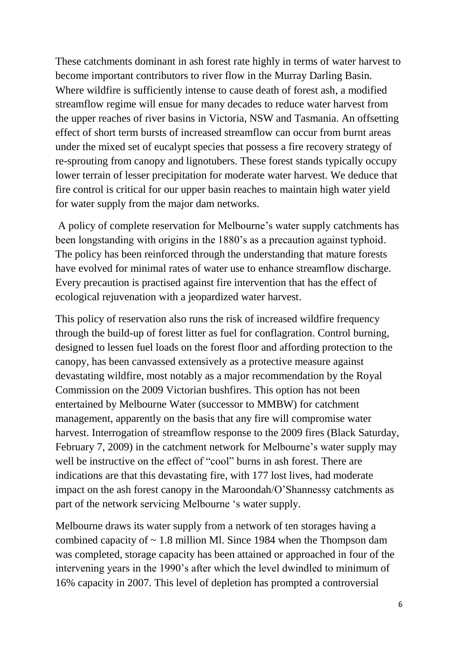These catchments dominant in ash forest rate highly in terms of water harvest to become important contributors to river flow in the Murray Darling Basin. Where wildfire is sufficiently intense to cause death of forest ash, a modified streamflow regime will ensue for many decades to reduce water harvest from the upper reaches of river basins in Victoria, NSW and Tasmania. An offsetting effect of short term bursts of increased streamflow can occur from burnt areas under the mixed set of eucalypt species that possess a fire recovery strategy of re-sprouting from canopy and lignotubers. These forest stands typically occupy lower terrain of lesser precipitation for moderate water harvest. We deduce that fire control is critical for our upper basin reaches to maintain high water yield for water supply from the major dam networks.

A policy of complete reservation for Melbourne's water supply catchments has been longstanding with origins in the 1880's as a precaution against typhoid. The policy has been reinforced through the understanding that mature forests have evolved for minimal rates of water use to enhance streamflow discharge. Every precaution is practised against fire intervention that has the effect of ecological rejuvenation with a jeopardized water harvest.

This policy of reservation also runs the risk of increased wildfire frequency through the build-up of forest litter as fuel for conflagration. Control burning, designed to lessen fuel loads on the forest floor and affording protection to the canopy, has been canvassed extensively as a protective measure against devastating wildfire, most notably as a major recommendation by the Royal Commission on the 2009 Victorian bushfires. This option has not been entertained by Melbourne Water (successor to MMBW) for catchment management, apparently on the basis that any fire will compromise water harvest. Interrogation of streamflow response to the 2009 fires (Black Saturday, February 7, 2009) in the catchment network for Melbourne's water supply may well be instructive on the effect of "cool" burns in ash forest. There are indications are that this devastating fire, with 177 lost lives, had moderate impact on the ash forest canopy in the Maroondah/O'Shannessy catchments as part of the network servicing Melbourne 's water supply.

Melbourne draws its water supply from a network of ten storages having a combined capacity of  $\sim$  1.8 million Ml. Since 1984 when the Thompson dam was completed, storage capacity has been attained or approached in four of the intervening years in the 1990's after which the level dwindled to minimum of 16% capacity in 2007. This level of depletion has prompted a controversial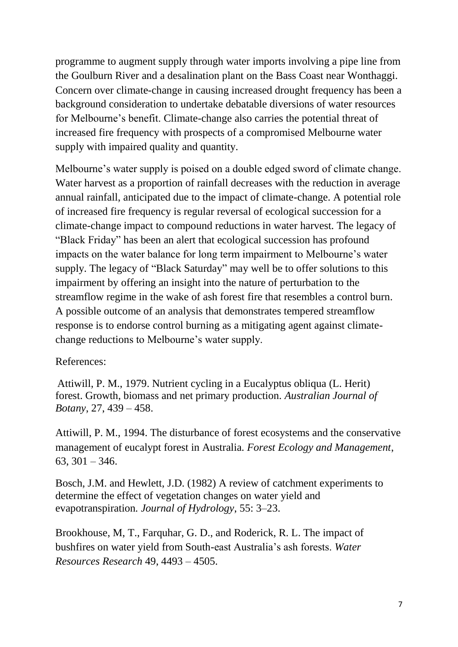programme to augment supply through water imports involving a pipe line from the Goulburn River and a desalination plant on the Bass Coast near Wonthaggi. Concern over climate-change in causing increased drought frequency has been a background consideration to undertake debatable diversions of water resources for Melbourne's benefit. Climate-change also carries the potential threat of increased fire frequency with prospects of a compromised Melbourne water supply with impaired quality and quantity.

Melbourne's water supply is poised on a double edged sword of climate change. Water harvest as a proportion of rainfall decreases with the reduction in average annual rainfall, anticipated due to the impact of climate-change. A potential role of increased fire frequency is regular reversal of ecological succession for a climate-change impact to compound reductions in water harvest. The legacy of "Black Friday" has been an alert that ecological succession has profound impacts on the water balance for long term impairment to Melbourne's water supply. The legacy of "Black Saturday" may well be to offer solutions to this impairment by offering an insight into the nature of perturbation to the streamflow regime in the wake of ash forest fire that resembles a control burn. A possible outcome of an analysis that demonstrates tempered streamflow response is to endorse control burning as a mitigating agent against climatechange reductions to Melbourne's water supply.

## References:

Attiwill, P. M., 1979. Nutrient cycling in a Eucalyptus obliqua (L. Herit) forest. Growth, biomass and net primary production. *Australian Journal of Botany*, 27, 439 – 458.

Attiwill, P. M., 1994. The disturbance of forest ecosystems and the conservative management of eucalypt forest in Australia. *Forest Ecology and Management*,  $63, 301 - 346.$ 

Bosch, J.M. and Hewlett, J.D. (1982) A review of catchment experiments to determine the effect of vegetation changes on water yield and evapotranspiration*. Journal of Hydrology*, 55: 3–23.

Brookhouse, M, T., Farquhar, G. D., and Roderick, R. L. The impact of bushfires on water yield from South-east Australia's ash forests. *Water Resources Research* 49, 4493 – 4505.